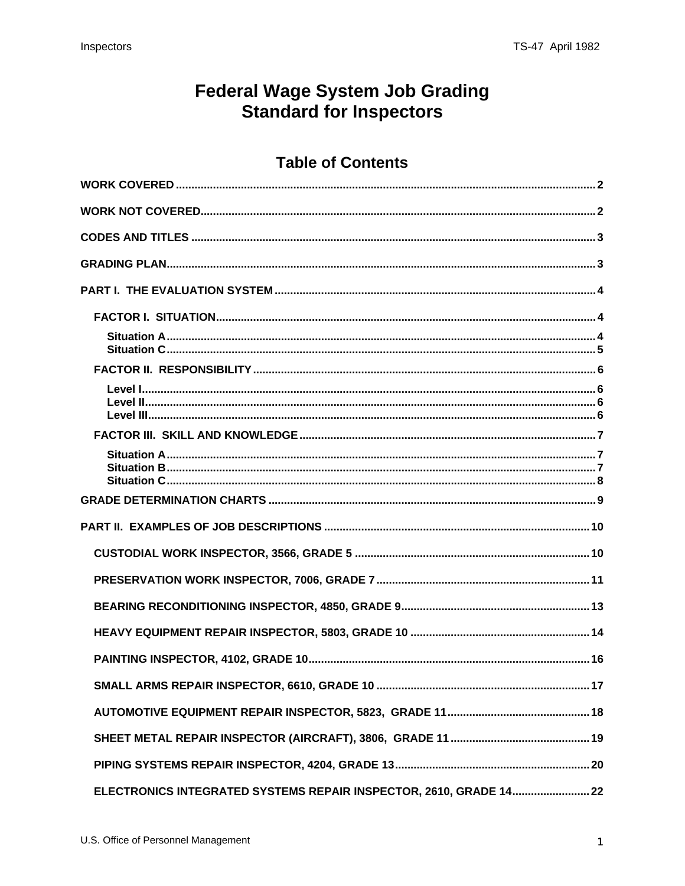## **Federal Wage System Job Grading Standard for Inspectors**

## **Table of Contents**

| ELECTRONICS INTEGRATED SYSTEMS REPAIR INSPECTOR, 2610, GRADE 14 22 |
|--------------------------------------------------------------------|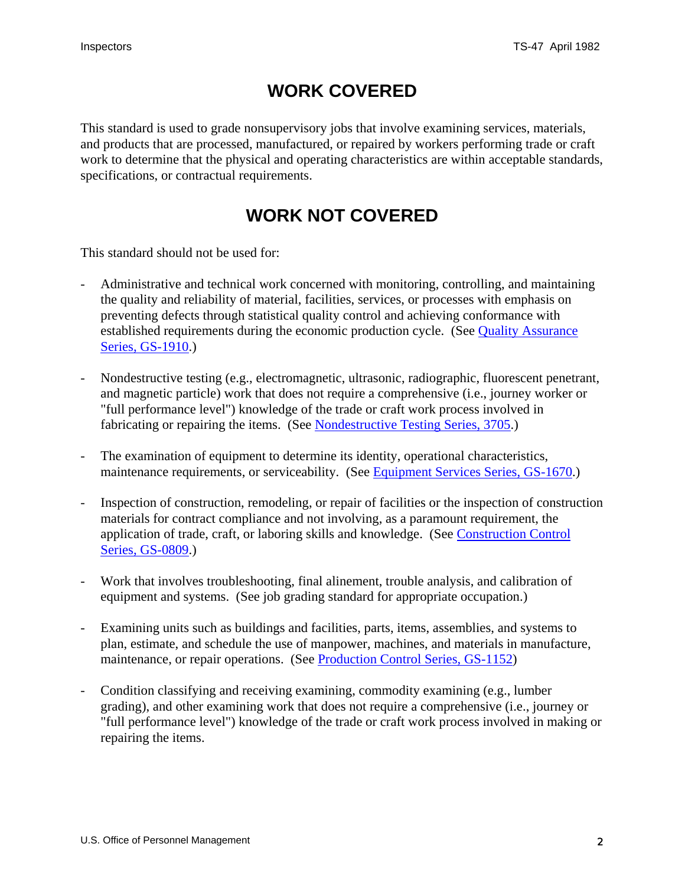## **WORK COVERED**

<span id="page-1-0"></span>This standard is used to grade nonsupervisory jobs that involve examining services, materials, and products that are processed, manufactured, or repaired by workers performing trade or craft work to determine that the physical and operating characteristics are within acceptable standards, specifications, or contractual requirements.

## **WORK NOT COVERED**

This standard should not be used for:

- Administrative and technical work concerned with monitoring, controlling, and maintaining the quality and reliability of material, facilities, services, or processes with emphasis on preventing defects through statistical quality control and achieving conformance with established requirements during the economic production cycle. (See Quality Assurance Series, GS-1910.)
- Nondestructive testing (e.g., electromagnetic, ultrasonic, radiographic, fluorescent penetrant, and magnetic particle) work that does not require a comprehensive (i.e., journey worker or "full performance level") knowledge of the trade or craft work process involved in fabricating or repairing the items. (See Nondestructive Testing Series, 3705.)
- The examination of equipment to determine its identity, operational characteristics, maintenance requirements, or serviceability. (See Equipment Services Series, GS-1670.)
- Inspection of construction, remodeling, or repair of facilities or the inspection of construction materials for contract compliance and not involving, as a paramount requirement, the application of trade, craft, or laboring skills and knowledge. (See Construction Control Series, GS-0809.)
- Work that involves troubleshooting, final alinement, trouble analysis, and calibration of equipment and systems. (See job grading standard for appropriate occupation.)
- Examining units such as buildings and facilities, parts, items, assemblies, and systems to plan, estimate, and schedule the use of manpower, machines, and materials in manufacture, maintenance, or repair operations. (See Production Control Series, GS-1152)
- Condition classifying and receiving examining, commodity examining (e.g., lumber grading), and other examining work that does not require a comprehensive (i.e., journey or "full performance level") knowledge of the trade or craft work process involved in making or repairing the items.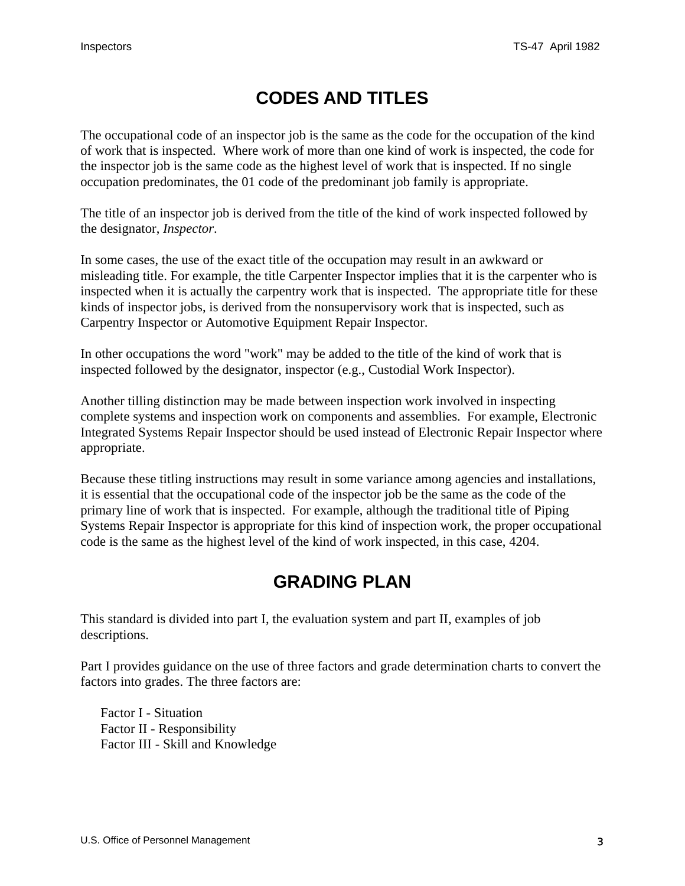## **CODES AND TITLES**

<span id="page-2-0"></span>The occupational code of an inspector job is the same as the code for the occupation of the kind of work that is inspected. Where work of more than one kind of work is inspected, the code for the inspector job is the same code as the highest level of work that is inspected. If no single occupation predominates, the 01 code of the predominant job family is appropriate.

The title of an inspector job is derived from the title of the kind of work inspected followed by the designator, *Inspector*.

In some cases, the use of the exact title of the occupation may result in an awkward or misleading title. For example, the title Carpenter Inspector implies that it is the carpenter who is inspected when it is actually the carpentry work that is inspected. The appropriate title for these kinds of inspector jobs, is derived from the nonsupervisory work that is inspected, such as Carpentry Inspector or Automotive Equipment Repair Inspector.

In other occupations the word "work" may be added to the title of the kind of work that is inspected followed by the designator, inspector (e.g., Custodial Work Inspector).

Another tilling distinction may be made between inspection work involved in inspecting complete systems and inspection work on components and assemblies. For example, Electronic Integrated Systems Repair Inspector should be used instead of Electronic Repair Inspector where appropriate.

Because these titling instructions may result in some variance among agencies and installations, it is essential that the occupational code of the inspector job be the same as the code of the primary line of work that is inspected. For example, although the traditional title of Piping Systems Repair Inspector is appropriate for this kind of inspection work, the proper occupational code is the same as the highest level of the kind of work inspected, in this case, 4204.

## **GRADING PLAN**

This standard is divided into part I, the evaluation system and part II, examples of job descriptions.

Part I provides guidance on the use of three factors and grade determination charts to convert the factors into grades. The three factors are:

Factor I - Situation Factor II - Responsibility Factor III - Skill and Knowledge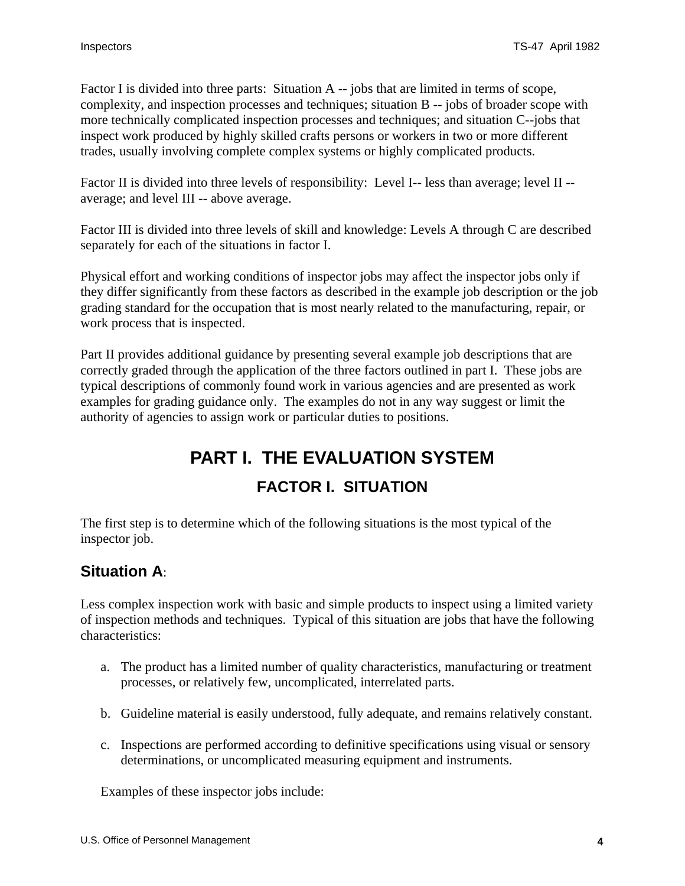<span id="page-3-0"></span>Factor I is divided into three parts: Situation A -- jobs that are limited in terms of scope, complexity, and inspection processes and techniques; situation B -- jobs of broader scope with more technically complicated inspection processes and techniques; and situation C--jobs that inspect work produced by highly skilled crafts persons or workers in two or more different trades, usually involving complete complex systems or highly complicated products.

Factor II is divided into three levels of responsibility: Level I-- less than average; level II - average; and level III -- above average.

Factor III is divided into three levels of skill and knowledge: Levels A through C are described separately for each of the situations in factor I.

Physical effort and working conditions of inspector jobs may affect the inspector jobs only if they differ significantly from these factors as described in the example job description or the job grading standard for the occupation that is most nearly related to the manufacturing, repair, or work process that is inspected.

Part II provides additional guidance by presenting several example job descriptions that are correctly graded through the application of the three factors outlined in part I. These jobs are typical descriptions of commonly found work in various agencies and are presented as work examples for grading guidance only. The examples do not in any way suggest or limit the authority of agencies to assign work or particular duties to positions.

# **PART I. THE EVALUATION SYSTEM FACTOR I. SITUATION**

The first step is to determine which of the following situations is the most typical of the inspector job.

## **Situation A**:

Less complex inspection work with basic and simple products to inspect using a limited variety of inspection methods and techniques. Typical of this situation are jobs that have the following characteristics:

- a. The product has a limited number of quality characteristics, manufacturing or treatment processes, or relatively few, uncomplicated, interrelated parts.
- b. Guideline material is easily understood, fully adequate, and remains relatively constant.
- c. Inspections are performed according to definitive specifications using visual or sensory determinations, or uncomplicated measuring equipment and instruments.

Examples of these inspector jobs include: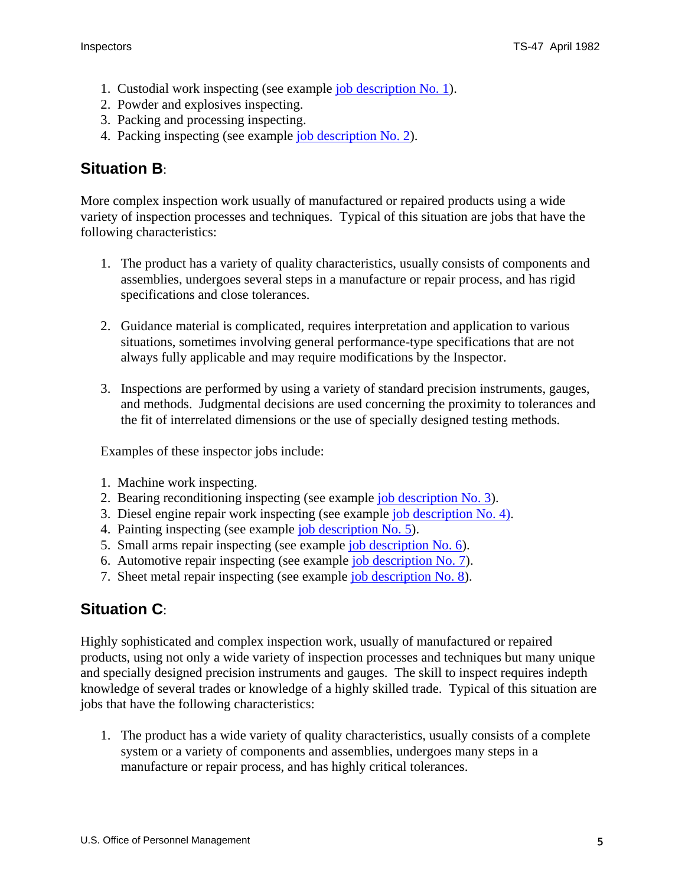- <span id="page-4-0"></span>1. Custodial work inspecting (see example [job description No. 1\)](#page-9-0).
- 2. Powder and explosives inspecting.
- 3. Packing and processing inspecting.
- 4. Packing inspecting (see example [job description No. 2\)](#page-10-0).

## **Situation B**:

More complex inspection work usually of manufactured or repaired products using a wide variety of inspection processes and techniques. Typical of this situation are jobs that have the following characteristics:

- 1. The product has a variety of quality characteristics, usually consists of components and assemblies, undergoes several steps in a manufacture or repair process, and has rigid specifications and close tolerances.
- 2. Guidance material is complicated, requires interpretation and application to various situations, sometimes involving general performance-type specifications that are not always fully applicable and may require modifications by the Inspector.
- 3. Inspections are performed by using a variety of standard precision instruments, gauges, and methods. Judgmental decisions are used concerning the proximity to tolerances and the fit of interrelated dimensions or the use of specially designed testing methods.

Examples of these inspector jobs include:

- 1. Machine work inspecting.
- 2. Bearing reconditioning inspecting (see example [job description No. 3](#page-12-0)).
- 3. Diesel engine repair work inspecting (see example [job description No. 4](#page-13-0)).
- 4. Painting inspecting (see example [job description No. 5\)](#page-15-0).
- 5. Small arms repair inspecting (see example [job description No. 6](#page-16-0)).
- 6. Automotive repair inspecting (see example [job description No. 7](#page-17-0)).
- 7. Sheet metal repair inspecting (see example [job description No. 8](#page-18-0)).

## **Situation C**:

Highly sophisticated and complex inspection work, usually of manufactured or repaired products, using not only a wide variety of inspection processes and techniques but many unique and specially designed precision instruments and gauges. The skill to inspect requires indepth knowledge of several trades or knowledge of a highly skilled trade. Typical of this situation are jobs that have the following characteristics:

1. The product has a wide variety of quality characteristics, usually consists of a complete system or a variety of components and assemblies, undergoes many steps in a manufacture or repair process, and has highly critical tolerances.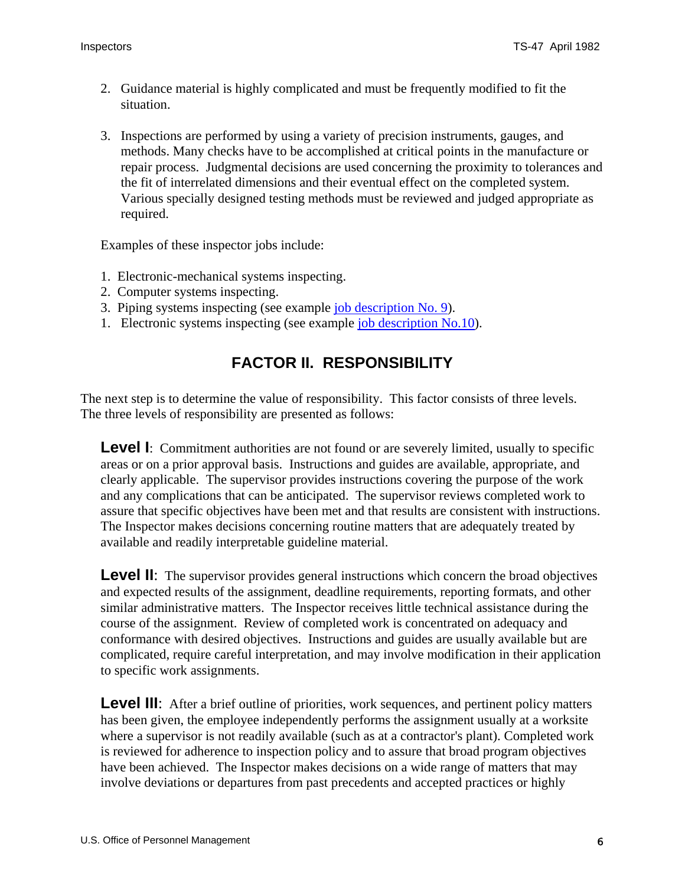- <span id="page-5-0"></span>2. Guidance material is highly complicated and must be frequently modified to fit the situation.
- 3. Inspections are performed by using a variety of precision instruments, gauges, and methods. Many checks have to be accomplished at critical points in the manufacture or repair process. Judgmental decisions are used concerning the proximity to tolerances and the fit of interrelated dimensions and their eventual effect on the completed system. Various specially designed testing methods must be reviewed and judged appropriate as required.

Examples of these inspector jobs include:

- 1. Electronic-mechanical systems inspecting.
- 2. Computer systems inspecting.
- 3. Piping systems inspecting (see example [job description No. 9](#page-19-0)).
- 1. Electronic systems inspecting (see example [job description No.10](#page-21-0)).

## **FACTOR II. RESPONSIBILITY**

The next step is to determine the value of responsibility. This factor consists of three levels. The three levels of responsibility are presented as follows:

**Level I**: Commitment authorities are not found or are severely limited, usually to specific areas or on a prior approval basis. Instructions and guides are available, appropriate, and clearly applicable. The supervisor provides instructions covering the purpose of the work and any complications that can be anticipated. The supervisor reviews completed work to assure that specific objectives have been met and that results are consistent with instructions. The Inspector makes decisions concerning routine matters that are adequately treated by available and readily interpretable guideline material.

**Level II:** The supervisor provides general instructions which concern the broad objectives and expected results of the assignment, deadline requirements, reporting formats, and other similar administrative matters. The Inspector receives little technical assistance during the course of the assignment. Review of completed work is concentrated on adequacy and conformance with desired objectives. Instructions and guides are usually available but are complicated, require careful interpretation, and may involve modification in their application to specific work assignments.

**Level III:** After a brief outline of priorities, work sequences, and pertinent policy matters has been given, the employee independently performs the assignment usually at a worksite where a supervisor is not readily available (such as at a contractor's plant). Completed work is reviewed for adherence to inspection policy and to assure that broad program objectives have been achieved. The Inspector makes decisions on a wide range of matters that may involve deviations or departures from past precedents and accepted practices or highly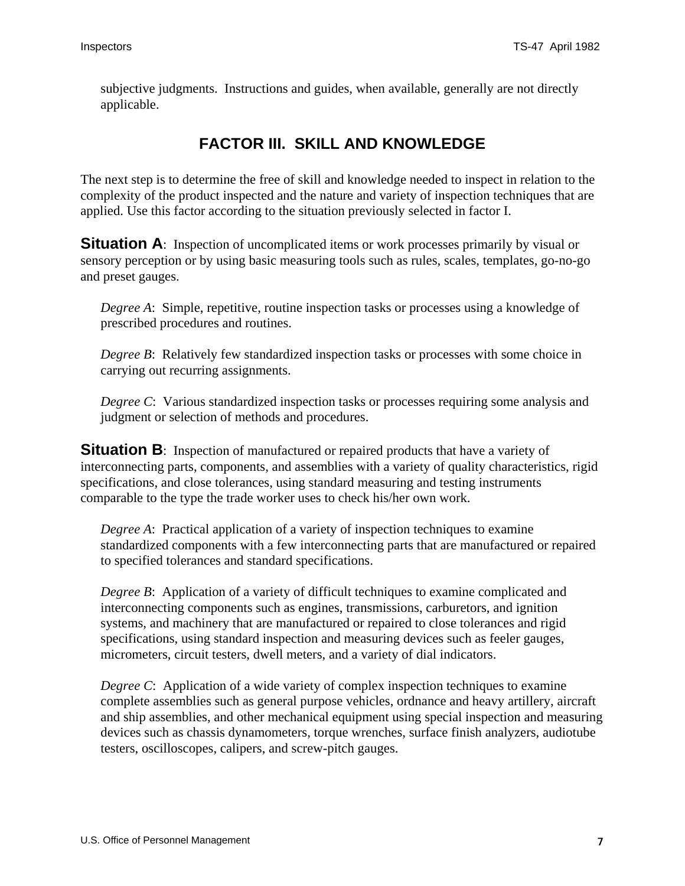<span id="page-6-0"></span>subjective judgments. Instructions and guides, when available, generally are not directly applicable.

## **FACTOR III. SKILL AND KNOWLEDGE**

The next step is to determine the free of skill and knowledge needed to inspect in relation to the complexity of the product inspected and the nature and variety of inspection techniques that are applied. Use this factor according to the situation previously selected in factor I.

**Situation A**: Inspection of uncomplicated items or work processes primarily by visual or sensory perception or by using basic measuring tools such as rules, scales, templates, go-no-go and preset gauges.

*Degree A*: Simple, repetitive, routine inspection tasks or processes using a knowledge of prescribed procedures and routines.

*Degree B*: Relatively few standardized inspection tasks or processes with some choice in carrying out recurring assignments.

*Degree C*: Various standardized inspection tasks or processes requiring some analysis and judgment or selection of methods and procedures.

**Situation B**: Inspection of manufactured or repaired products that have a variety of interconnecting parts, components, and assemblies with a variety of quality characteristics, rigid specifications, and close tolerances, using standard measuring and testing instruments comparable to the type the trade worker uses to check his/her own work.

*Degree A*: Practical application of a variety of inspection techniques to examine standardized components with a few interconnecting parts that are manufactured or repaired to specified tolerances and standard specifications.

*Degree B*: Application of a variety of difficult techniques to examine complicated and interconnecting components such as engines, transmissions, carburetors, and ignition systems, and machinery that are manufactured or repaired to close tolerances and rigid specifications, using standard inspection and measuring devices such as feeler gauges, micrometers, circuit testers, dwell meters, and a variety of dial indicators.

*Degree C*: Application of a wide variety of complex inspection techniques to examine complete assemblies such as general purpose vehicles, ordnance and heavy artillery, aircraft and ship assemblies, and other mechanical equipment using special inspection and measuring devices such as chassis dynamometers, torque wrenches, surface finish analyzers, audiotube testers, oscilloscopes, calipers, and screw-pitch gauges.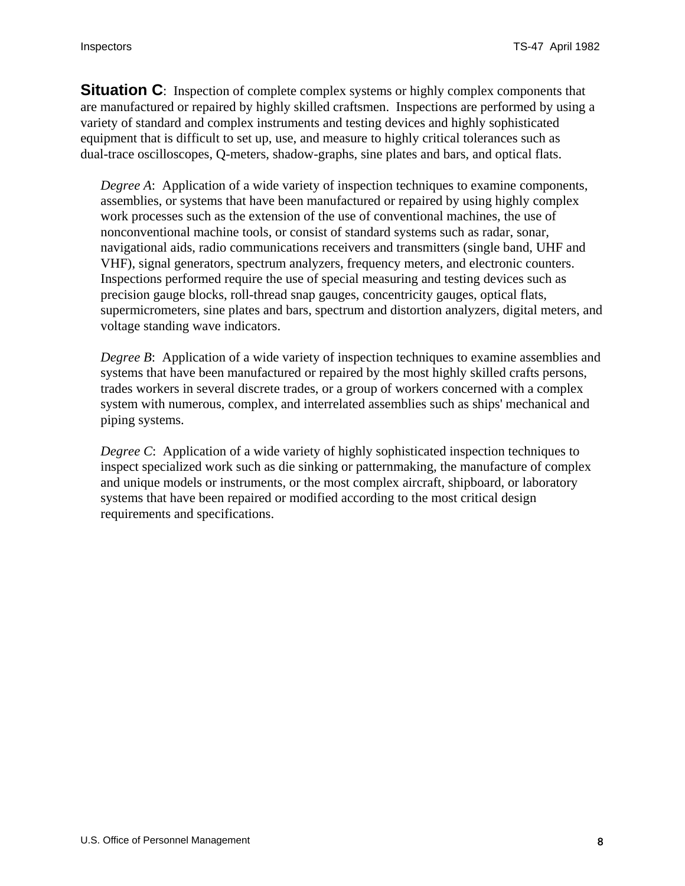<span id="page-7-0"></span>**Situation C**: Inspection of complete complex systems or highly complex components that are manufactured or repaired by highly skilled craftsmen. Inspections are performed by using a variety of standard and complex instruments and testing devices and highly sophisticated equipment that is difficult to set up, use, and measure to highly critical tolerances such as dual-trace oscilloscopes, Q-meters, shadow-graphs, sine plates and bars, and optical flats.

*Degree A*: Application of a wide variety of inspection techniques to examine components, assemblies, or systems that have been manufactured or repaired by using highly complex work processes such as the extension of the use of conventional machines, the use of nonconventional machine tools, or consist of standard systems such as radar, sonar, navigational aids, radio communications receivers and transmitters (single band, UHF and VHF), signal generators, spectrum analyzers, frequency meters, and electronic counters. Inspections performed require the use of special measuring and testing devices such as precision gauge blocks, roll-thread snap gauges, concentricity gauges, optical flats, supermicrometers, sine plates and bars, spectrum and distortion analyzers, digital meters, and voltage standing wave indicators.

*Degree B*: Application of a wide variety of inspection techniques to examine assemblies and systems that have been manufactured or repaired by the most highly skilled crafts persons, trades workers in several discrete trades, or a group of workers concerned with a complex system with numerous, complex, and interrelated assemblies such as ships' mechanical and piping systems.

*Degree C*: Application of a wide variety of highly sophisticated inspection techniques to inspect specialized work such as die sinking or patternmaking, the manufacture of complex and unique models or instruments, or the most complex aircraft, shipboard, or laboratory systems that have been repaired or modified according to the most critical design requirements and specifications.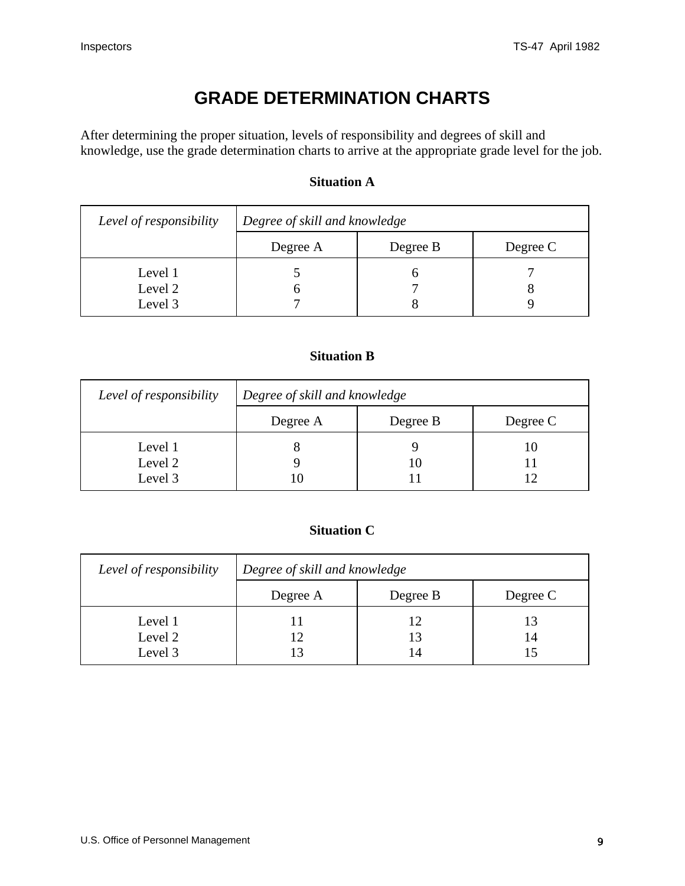## **GRADE DETERMINATION CHARTS**

<span id="page-8-0"></span>After determining the proper situation, levels of responsibility and degrees of skill and knowledge, use the grade determination charts to arrive at the appropriate grade level for the job.

#### **Situation A**

| Level of responsibility       | Degree of skill and knowledge |          |          |  |
|-------------------------------|-------------------------------|----------|----------|--|
|                               | Degree A                      | Degree B | Degree C |  |
| Level 1<br>Level 2<br>Level 3 |                               |          | Ω        |  |

#### **Situation B**

| Level of responsibility       | Degree of skill and knowledge |          |          |  |
|-------------------------------|-------------------------------|----------|----------|--|
|                               | Degree A                      | Degree B | Degree C |  |
| Level 1<br>Level 2<br>Level 3 |                               |          |          |  |

#### **Situation C**

| Level of responsibility       | Degree of skill and knowledge |          |          |
|-------------------------------|-------------------------------|----------|----------|
|                               | Degree A                      | Degree B | Degree C |
| Level 1<br>Level 2<br>Level 3 | 12                            |          | 14       |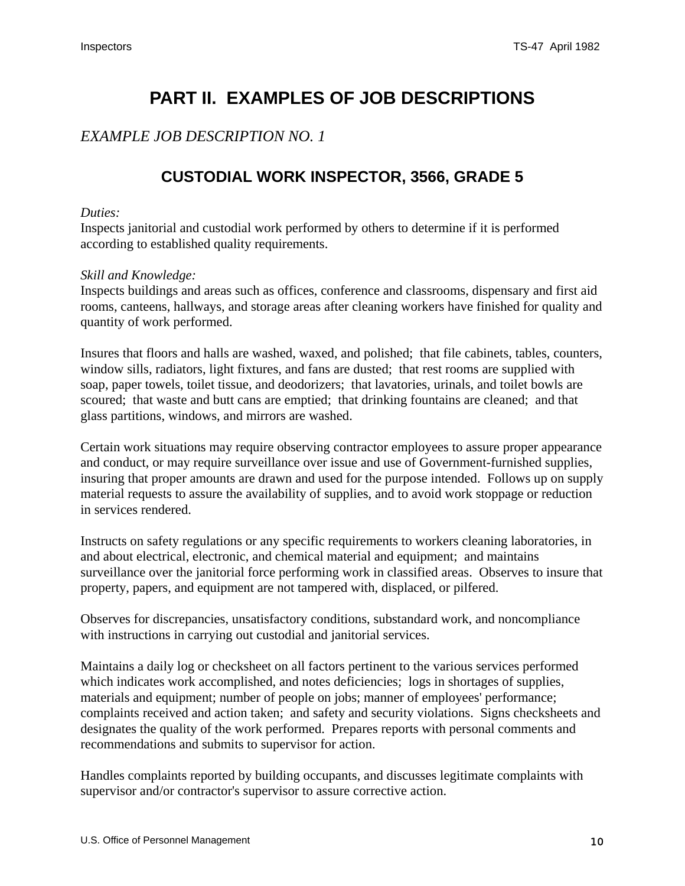## **PART II. EXAMPLES OF JOB DESCRIPTIONS**

### <span id="page-9-0"></span>*EXAMPLE JOB DESCRIPTION NO. 1*

## **CUSTODIAL WORK INSPECTOR, 3566, GRADE 5**

#### *Duties:*

Inspects janitorial and custodial work performed by others to determine if it is performed according to established quality requirements.

#### *Skill and Knowledge:*

Inspects buildings and areas such as offices, conference and classrooms, dispensary and first aid rooms, canteens, hallways, and storage areas after cleaning workers have finished for quality and quantity of work performed.

Insures that floors and halls are washed, waxed, and polished; that file cabinets, tables, counters, window sills, radiators, light fixtures, and fans are dusted; that rest rooms are supplied with soap, paper towels, toilet tissue, and deodorizers; that lavatories, urinals, and toilet bowls are scoured; that waste and butt cans are emptied; that drinking fountains are cleaned; and that glass partitions, windows, and mirrors are washed.

Certain work situations may require observing contractor employees to assure proper appearance and conduct, or may require surveillance over issue and use of Government-furnished supplies, insuring that proper amounts are drawn and used for the purpose intended. Follows up on supply material requests to assure the availability of supplies, and to avoid work stoppage or reduction in services rendered.

Instructs on safety regulations or any specific requirements to workers cleaning laboratories, in and about electrical, electronic, and chemical material and equipment; and maintains surveillance over the janitorial force performing work in classified areas. Observes to insure that property, papers, and equipment are not tampered with, displaced, or pilfered.

Observes for discrepancies, unsatisfactory conditions, substandard work, and noncompliance with instructions in carrying out custodial and janitorial services.

Maintains a daily log or checksheet on all factors pertinent to the various services performed which indicates work accomplished, and notes deficiencies; logs in shortages of supplies, materials and equipment; number of people on jobs; manner of employees' performance; complaints received and action taken; and safety and security violations. Signs checksheets and designates the quality of the work performed. Prepares reports with personal comments and recommendations and submits to supervisor for action.

Handles complaints reported by building occupants, and discusses legitimate complaints with supervisor and/or contractor's supervisor to assure corrective action.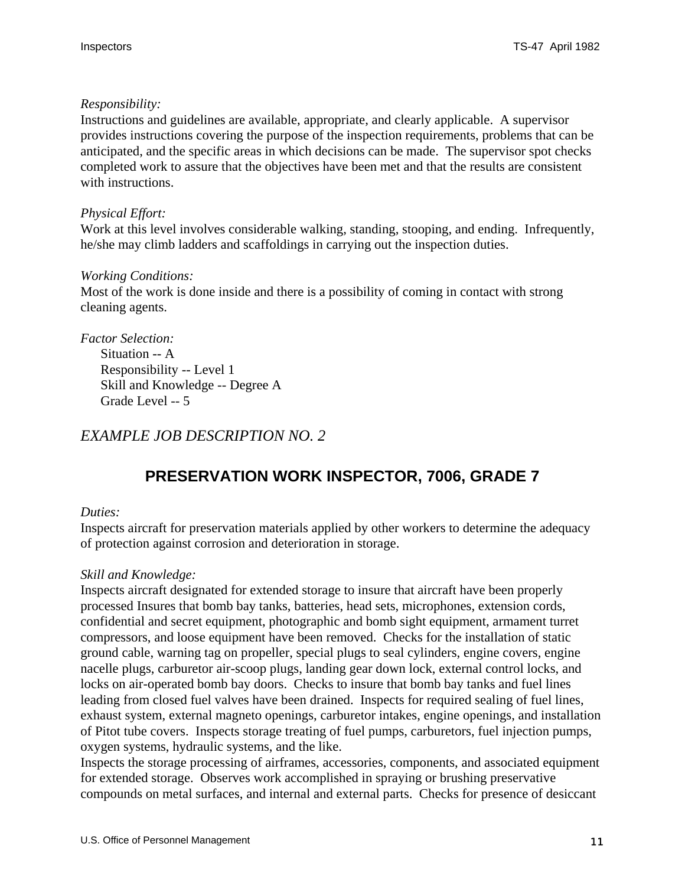#### <span id="page-10-0"></span>*Responsibility:*

Instructions and guidelines are available, appropriate, and clearly applicable. A supervisor provides instructions covering the purpose of the inspection requirements, problems that can be anticipated, and the specific areas in which decisions can be made. The supervisor spot checks completed work to assure that the objectives have been met and that the results are consistent with instructions.

#### *Physical Effort:*

Work at this level involves considerable walking, standing, stooping, and ending. Infrequently, he/she may climb ladders and scaffoldings in carrying out the inspection duties.

#### *Working Conditions:*

Most of the work is done inside and there is a possibility of coming in contact with strong cleaning agents.

*Factor Selection:* Situation -- A Responsibility -- Level 1 Skill and Knowledge -- Degree A Grade Level -- 5

### *EXAMPLE JOB DESCRIPTION NO. 2*

## **PRESERVATION WORK INSPECTOR, 7006, GRADE 7**

#### *Duties:*

Inspects aircraft for preservation materials applied by other workers to determine the adequacy of protection against corrosion and deterioration in storage.

#### *Skill and Knowledge:*

Inspects aircraft designated for extended storage to insure that aircraft have been properly processed Insures that bomb bay tanks, batteries, head sets, microphones, extension cords, confidential and secret equipment, photographic and bomb sight equipment, armament turret compressors, and loose equipment have been removed. Checks for the installation of static ground cable, warning tag on propeller, special plugs to seal cylinders, engine covers, engine nacelle plugs, carburetor air-scoop plugs, landing gear down lock, external control locks, and locks on air-operated bomb bay doors. Checks to insure that bomb bay tanks and fuel lines leading from closed fuel valves have been drained. Inspects for required sealing of fuel lines, exhaust system, external magneto openings, carburetor intakes, engine openings, and installation of Pitot tube covers. Inspects storage treating of fuel pumps, carburetors, fuel injection pumps, oxygen systems, hydraulic systems, and the like.

Inspects the storage processing of airframes, accessories, components, and associated equipment for extended storage. Observes work accomplished in spraying or brushing preservative compounds on metal surfaces, and internal and external parts. Checks for presence of desiccant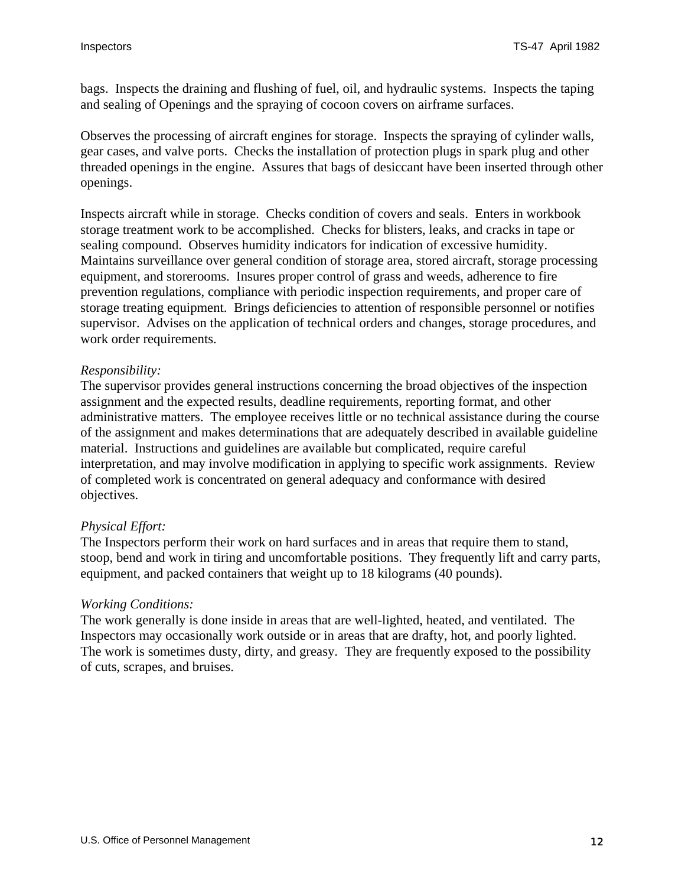bags. Inspects the draining and flushing of fuel, oil, and hydraulic systems. Inspects the taping and sealing of Openings and the spraying of cocoon covers on airframe surfaces.

Observes the processing of aircraft engines for storage. Inspects the spraying of cylinder walls, gear cases, and valve ports. Checks the installation of protection plugs in spark plug and other threaded openings in the engine. Assures that bags of desiccant have been inserted through other openings.

Inspects aircraft while in storage. Checks condition of covers and seals. Enters in workbook storage treatment work to be accomplished. Checks for blisters, leaks, and cracks in tape or sealing compound. Observes humidity indicators for indication of excessive humidity. Maintains surveillance over general condition of storage area, stored aircraft, storage processing equipment, and storerooms. Insures proper control of grass and weeds, adherence to fire prevention regulations, compliance with periodic inspection requirements, and proper care of storage treating equipment. Brings deficiencies to attention of responsible personnel or notifies supervisor. Advises on the application of technical orders and changes, storage procedures, and work order requirements.

#### *Responsibility:*

The supervisor provides general instructions concerning the broad objectives of the inspection assignment and the expected results, deadline requirements, reporting format, and other administrative matters. The employee receives little or no technical assistance during the course of the assignment and makes determinations that are adequately described in available guideline material. Instructions and guidelines are available but complicated, require careful interpretation, and may involve modification in applying to specific work assignments. Review of completed work is concentrated on general adequacy and conformance with desired objectives.

#### *Physical Effort:*

The Inspectors perform their work on hard surfaces and in areas that require them to stand, stoop, bend and work in tiring and uncomfortable positions. They frequently lift and carry parts, equipment, and packed containers that weight up to 18 kilograms (40 pounds).

#### *Working Conditions:*

The work generally is done inside in areas that are well-lighted, heated, and ventilated. The Inspectors may occasionally work outside or in areas that are drafty, hot, and poorly lighted. The work is sometimes dusty, dirty, and greasy. They are frequently exposed to the possibility of cuts, scrapes, and bruises.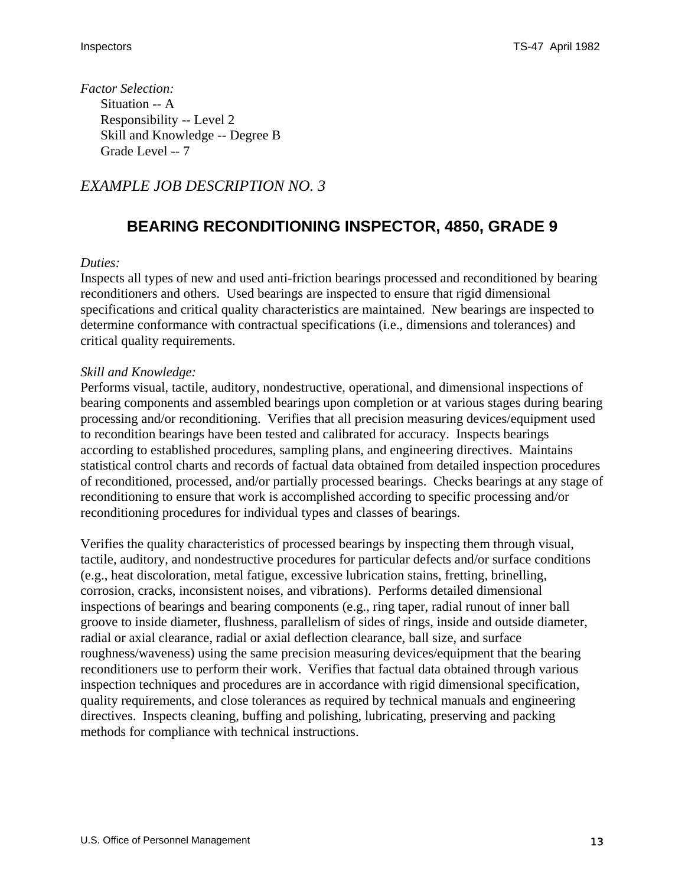<span id="page-12-0"></span>*Factor Selection:* Situation -- A Responsibility -- Level 2 Skill and Knowledge -- Degree B Grade Level -- 7

### *EXAMPLE JOB DESCRIPTION NO. 3*

## **BEARING RECONDITIONING INSPECTOR, 4850, GRADE 9**

#### *Duties:*

Inspects all types of new and used anti-friction bearings processed and reconditioned by bearing reconditioners and others. Used bearings are inspected to ensure that rigid dimensional specifications and critical quality characteristics are maintained. New bearings are inspected to determine conformance with contractual specifications (i.e., dimensions and tolerances) and critical quality requirements.

#### *Skill and Knowledge:*

Performs visual, tactile, auditory, nondestructive, operational, and dimensional inspections of bearing components and assembled bearings upon completion or at various stages during bearing processing and/or reconditioning. Verifies that all precision measuring devices/equipment used to recondition bearings have been tested and calibrated for accuracy. Inspects bearings according to established procedures, sampling plans, and engineering directives. Maintains statistical control charts and records of factual data obtained from detailed inspection procedures of reconditioned, processed, and/or partially processed bearings. Checks bearings at any stage of reconditioning to ensure that work is accomplished according to specific processing and/or reconditioning procedures for individual types and classes of bearings.

Verifies the quality characteristics of processed bearings by inspecting them through visual, tactile, auditory, and nondestructive procedures for particular defects and/or surface conditions (e.g., heat discoloration, metal fatigue, excessive lubrication stains, fretting, brinelling, corrosion, cracks, inconsistent noises, and vibrations). Performs detailed dimensional inspections of bearings and bearing components (e.g., ring taper, radial runout of inner ball groove to inside diameter, flushness, parallelism of sides of rings, inside and outside diameter, radial or axial clearance, radial or axial deflection clearance, ball size, and surface roughness/waveness) using the same precision measuring devices/equipment that the bearing reconditioners use to perform their work. Verifies that factual data obtained through various inspection techniques and procedures are in accordance with rigid dimensional specification, quality requirements, and close tolerances as required by technical manuals and engineering directives. Inspects cleaning, buffing and polishing, lubricating, preserving and packing methods for compliance with technical instructions.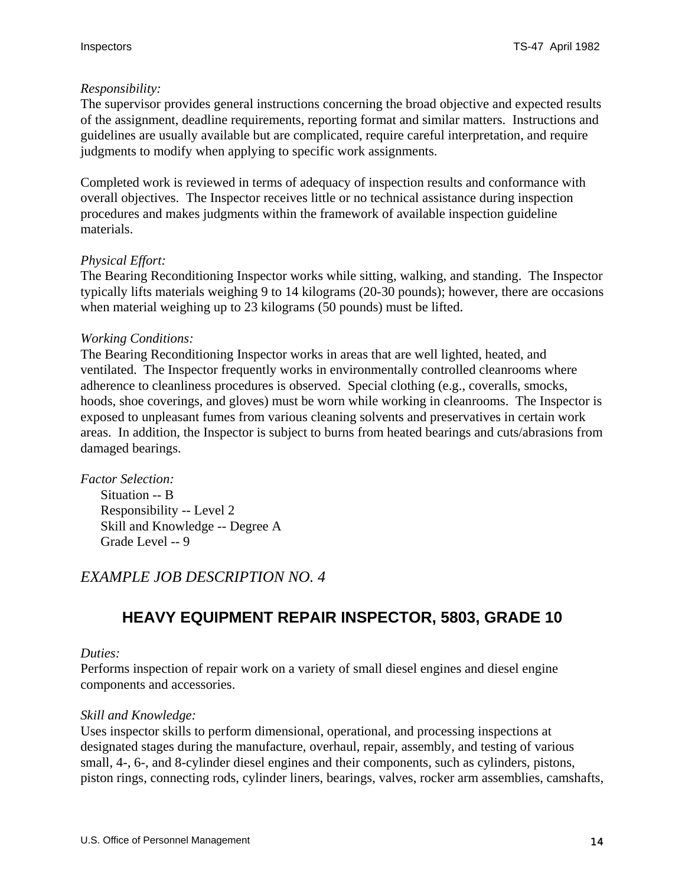#### <span id="page-13-0"></span>*Responsibility:*

The supervisor provides general instructions concerning the broad objective and expected results of the assignment, deadline requirements, reporting format and similar matters. Instructions and guidelines are usually available but are complicated, require careful interpretation, and require judgments to modify when applying to specific work assignments.

Completed work is reviewed in terms of adequacy of inspection results and conformance with overall objectives. The Inspector receives little or no technical assistance during inspection procedures and makes judgments within the framework of available inspection guideline materials.

#### *Physical Effort:*

The Bearing Reconditioning Inspector works while sitting, walking, and standing. The Inspector typically lifts materials weighing 9 to 14 kilograms (20-30 pounds); however, there are occasions when material weighing up to 23 kilograms (50 pounds) must be lifted.

#### *Working Conditions:*

The Bearing Reconditioning Inspector works in areas that are well lighted, heated, and ventilated. The Inspector frequently works in environmentally controlled cleanrooms where adherence to cleanliness procedures is observed. Special clothing (e.g., coveralls, smocks, hoods, shoe coverings, and gloves) must be worn while working in cleanrooms. The Inspector is exposed to unpleasant fumes from various cleaning solvents and preservatives in certain work areas. In addition, the Inspector is subject to burns from heated bearings and cuts/abrasions from damaged bearings.

*Factor Selection:* Situation -- B Responsibility -- Level 2 Skill and Knowledge -- Degree A Grade Level -- 9

### *EXAMPLE JOB DESCRIPTION NO. 4*

## **HEAVY EQUIPMENT REPAIR INSPECTOR, 5803, GRADE 10**

#### *Duties:*

Performs inspection of repair work on a variety of small diesel engines and diesel engine components and accessories.

#### *Skill and Knowledge:*

Uses inspector skills to perform dimensional, operational, and processing inspections at designated stages during the manufacture, overhaul, repair, assembly, and testing of various small, 4-, 6-, and 8-cylinder diesel engines and their components, such as cylinders, pistons, piston rings, connecting rods, cylinder liners, bearings, valves, rocker arm assemblies, camshafts,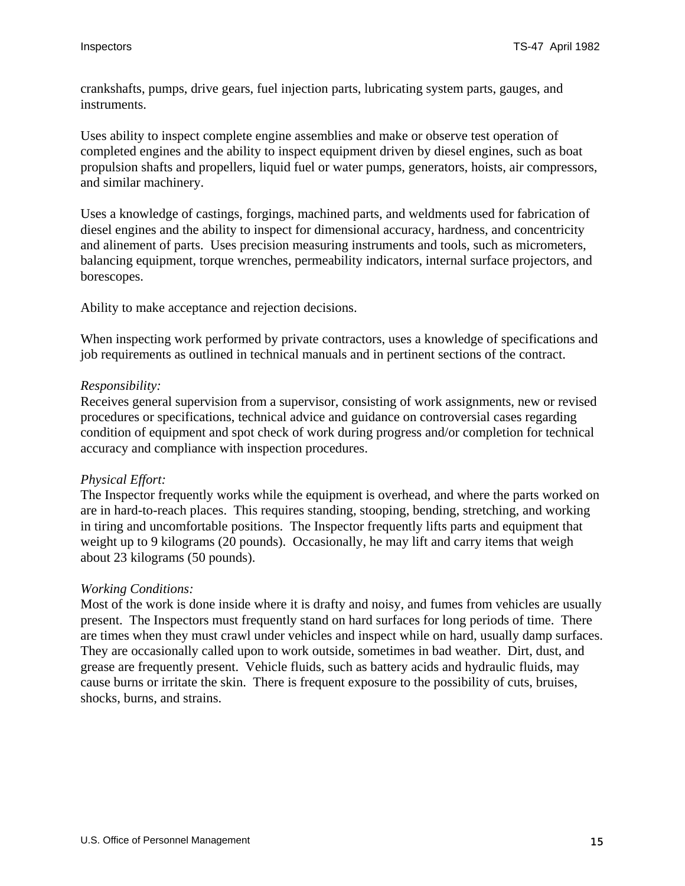crankshafts, pumps, drive gears, fuel injection parts, lubricating system parts, gauges, and instruments.

Uses ability to inspect complete engine assemblies and make or observe test operation of completed engines and the ability to inspect equipment driven by diesel engines, such as boat propulsion shafts and propellers, liquid fuel or water pumps, generators, hoists, air compressors, and similar machinery.

Uses a knowledge of castings, forgings, machined parts, and weldments used for fabrication of diesel engines and the ability to inspect for dimensional accuracy, hardness, and concentricity and alinement of parts. Uses precision measuring instruments and tools, such as micrometers, balancing equipment, torque wrenches, permeability indicators, internal surface projectors, and borescopes.

Ability to make acceptance and rejection decisions.

When inspecting work performed by private contractors, uses a knowledge of specifications and job requirements as outlined in technical manuals and in pertinent sections of the contract.

#### *Responsibility:*

Receives general supervision from a supervisor, consisting of work assignments, new or revised procedures or specifications, technical advice and guidance on controversial cases regarding condition of equipment and spot check of work during progress and/or completion for technical accuracy and compliance with inspection procedures.

#### *Physical Effort:*

The Inspector frequently works while the equipment is overhead, and where the parts worked on are in hard-to-reach places. This requires standing, stooping, bending, stretching, and working in tiring and uncomfortable positions. The Inspector frequently lifts parts and equipment that weight up to 9 kilograms (20 pounds). Occasionally, he may lift and carry items that weigh about 23 kilograms (50 pounds).

#### *Working Conditions:*

Most of the work is done inside where it is drafty and noisy, and fumes from vehicles are usually present. The Inspectors must frequently stand on hard surfaces for long periods of time. There are times when they must crawl under vehicles and inspect while on hard, usually damp surfaces. They are occasionally called upon to work outside, sometimes in bad weather. Dirt, dust, and grease are frequently present. Vehicle fluids, such as battery acids and hydraulic fluids, may cause burns or irritate the skin. There is frequent exposure to the possibility of cuts, bruises, shocks, burns, and strains.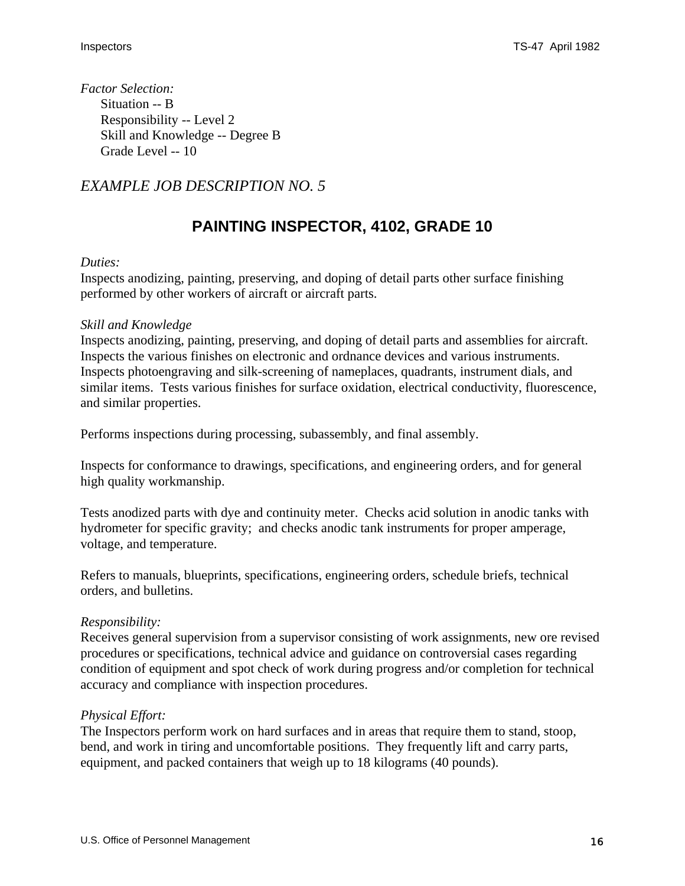<span id="page-15-0"></span>*Factor Selection:* Situation -- B Responsibility -- Level 2 Skill and Knowledge -- Degree B Grade Level -- 10

## *EXAMPLE JOB DESCRIPTION NO. 5*

## **PAINTING INSPECTOR, 4102, GRADE 10**

#### *Duties:*

Inspects anodizing, painting, preserving, and doping of detail parts other surface finishing performed by other workers of aircraft or aircraft parts.

#### *Skill and Knowledge*

Inspects anodizing, painting, preserving, and doping of detail parts and assemblies for aircraft. Inspects the various finishes on electronic and ordnance devices and various instruments. Inspects photoengraving and silk-screening of nameplaces, quadrants, instrument dials, and similar items. Tests various finishes for surface oxidation, electrical conductivity, fluorescence, and similar properties.

Performs inspections during processing, subassembly, and final assembly.

Inspects for conformance to drawings, specifications, and engineering orders, and for general high quality workmanship.

Tests anodized parts with dye and continuity meter. Checks acid solution in anodic tanks with hydrometer for specific gravity; and checks anodic tank instruments for proper amperage, voltage, and temperature.

Refers to manuals, blueprints, specifications, engineering orders, schedule briefs, technical orders, and bulletins.

#### *Responsibility:*

Receives general supervision from a supervisor consisting of work assignments, new ore revised procedures or specifications, technical advice and guidance on controversial cases regarding condition of equipment and spot check of work during progress and/or completion for technical accuracy and compliance with inspection procedures.

#### *Physical Effort:*

The Inspectors perform work on hard surfaces and in areas that require them to stand, stoop, bend, and work in tiring and uncomfortable positions. They frequently lift and carry parts, equipment, and packed containers that weigh up to 18 kilograms (40 pounds).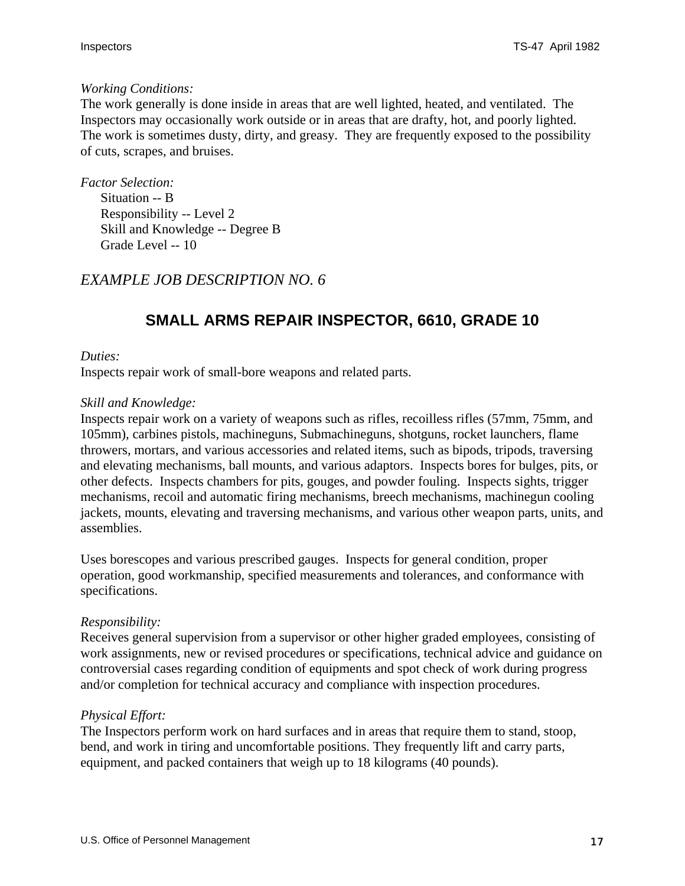#### <span id="page-16-0"></span>*Working Conditions:*

The work generally is done inside in areas that are well lighted, heated, and ventilated. The Inspectors may occasionally work outside or in areas that are drafty, hot, and poorly lighted. The work is sometimes dusty, dirty, and greasy. They are frequently exposed to the possibility of cuts, scrapes, and bruises.

*Factor Selection:* Situation -- B Responsibility -- Level 2 Skill and Knowledge -- Degree B Grade Level -- 10

### *EXAMPLE JOB DESCRIPTION NO. 6*

## **SMALL ARMS REPAIR INSPECTOR, 6610, GRADE 10**

#### *Duties:*

Inspects repair work of small-bore weapons and related parts.

#### *Skill and Knowledge:*

Inspects repair work on a variety of weapons such as rifles, recoilless rifles (57mm, 75mm, and 105mm), carbines pistols, machineguns, Submachineguns, shotguns, rocket launchers, flame throwers, mortars, and various accessories and related items, such as bipods, tripods, traversing and elevating mechanisms, ball mounts, and various adaptors. Inspects bores for bulges, pits, or other defects. Inspects chambers for pits, gouges, and powder fouling. Inspects sights, trigger mechanisms, recoil and automatic firing mechanisms, breech mechanisms, machinegun cooling jackets, mounts, elevating and traversing mechanisms, and various other weapon parts, units, and assemblies.

Uses borescopes and various prescribed gauges. Inspects for general condition, proper operation, good workmanship, specified measurements and tolerances, and conformance with specifications.

#### *Responsibility:*

Receives general supervision from a supervisor or other higher graded employees, consisting of work assignments, new or revised procedures or specifications, technical advice and guidance on controversial cases regarding condition of equipments and spot check of work during progress and/or completion for technical accuracy and compliance with inspection procedures.

#### *Physical Effort:*

The Inspectors perform work on hard surfaces and in areas that require them to stand, stoop, bend, and work in tiring and uncomfortable positions. They frequently lift and carry parts, equipment, and packed containers that weigh up to 18 kilograms (40 pounds).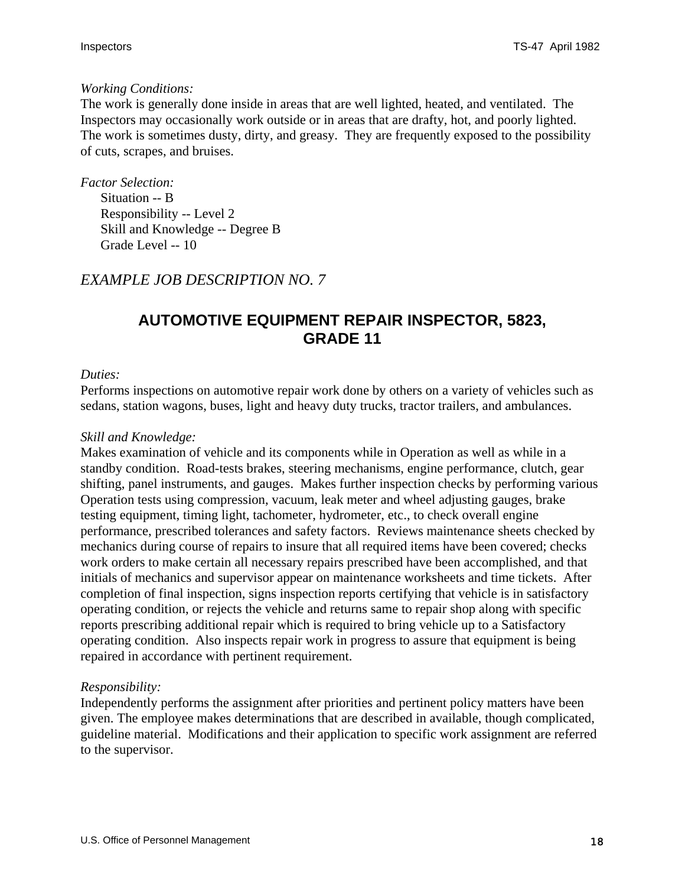#### <span id="page-17-0"></span>*Working Conditions:*

The work is generally done inside in areas that are well lighted, heated, and ventilated. The Inspectors may occasionally work outside or in areas that are drafty, hot, and poorly lighted. The work is sometimes dusty, dirty, and greasy. They are frequently exposed to the possibility of cuts, scrapes, and bruises.

*Factor Selection:*

Situation -- B Responsibility -- Level 2 Skill and Knowledge -- Degree B Grade Level -- 10

### *EXAMPLE JOB DESCRIPTION NO. 7*

## **AUTOMOTIVE EQUIPMENT REPAIR INSPECTOR, 5823, GRADE 11**

#### *Duties:*

Performs inspections on automotive repair work done by others on a variety of vehicles such as sedans, station wagons, buses, light and heavy duty trucks, tractor trailers, and ambulances.

#### *Skill and Knowledge:*

Makes examination of vehicle and its components while in Operation as well as while in a standby condition. Road-tests brakes, steering mechanisms, engine performance, clutch, gear shifting, panel instruments, and gauges. Makes further inspection checks by performing various Operation tests using compression, vacuum, leak meter and wheel adjusting gauges, brake testing equipment, timing light, tachometer, hydrometer, etc., to check overall engine performance, prescribed tolerances and safety factors. Reviews maintenance sheets checked by mechanics during course of repairs to insure that all required items have been covered; checks work orders to make certain all necessary repairs prescribed have been accomplished, and that initials of mechanics and supervisor appear on maintenance worksheets and time tickets. After completion of final inspection, signs inspection reports certifying that vehicle is in satisfactory operating condition, or rejects the vehicle and returns same to repair shop along with specific reports prescribing additional repair which is required to bring vehicle up to a Satisfactory operating condition. Also inspects repair work in progress to assure that equipment is being repaired in accordance with pertinent requirement.

#### *Responsibility:*

Independently performs the assignment after priorities and pertinent policy matters have been given. The employee makes determinations that are described in available, though complicated, guideline material. Modifications and their application to specific work assignment are referred to the supervisor.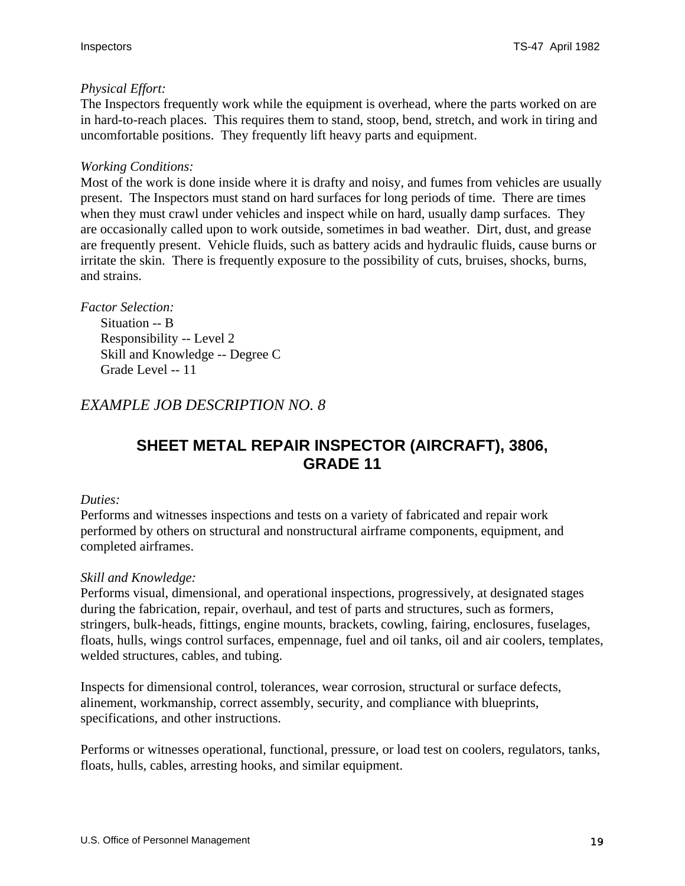#### <span id="page-18-0"></span>*Physical Effort:*

The Inspectors frequently work while the equipment is overhead, where the parts worked on are in hard-to-reach places. This requires them to stand, stoop, bend, stretch, and work in tiring and uncomfortable positions. They frequently lift heavy parts and equipment.

#### *Working Conditions:*

Most of the work is done inside where it is drafty and noisy, and fumes from vehicles are usually present. The Inspectors must stand on hard surfaces for long periods of time. There are times when they must crawl under vehicles and inspect while on hard, usually damp surfaces. They are occasionally called upon to work outside, sometimes in bad weather. Dirt, dust, and grease are frequently present. Vehicle fluids, such as battery acids and hydraulic fluids, cause burns or irritate the skin. There is frequently exposure to the possibility of cuts, bruises, shocks, burns, and strains.

#### *Factor Selection:*

Situation -- B Responsibility -- Level 2 Skill and Knowledge -- Degree C Grade Level -- 11

### *EXAMPLE JOB DESCRIPTION NO. 8*

## **SHEET METAL REPAIR INSPECTOR (AIRCRAFT), 3806, GRADE 11**

#### *Duties:*

Performs and witnesses inspections and tests on a variety of fabricated and repair work performed by others on structural and nonstructural airframe components, equipment, and completed airframes.

#### *Skill and Knowledge:*

Performs visual, dimensional, and operational inspections, progressively, at designated stages during the fabrication, repair, overhaul, and test of parts and structures, such as formers, stringers, bulk-heads, fittings, engine mounts, brackets, cowling, fairing, enclosures, fuselages, floats, hulls, wings control surfaces, empennage, fuel and oil tanks, oil and air coolers, templates, welded structures, cables, and tubing.

Inspects for dimensional control, tolerances, wear corrosion, structural or surface defects, alinement, workmanship, correct assembly, security, and compliance with blueprints, specifications, and other instructions.

Performs or witnesses operational, functional, pressure, or load test on coolers, regulators, tanks, floats, hulls, cables, arresting hooks, and similar equipment.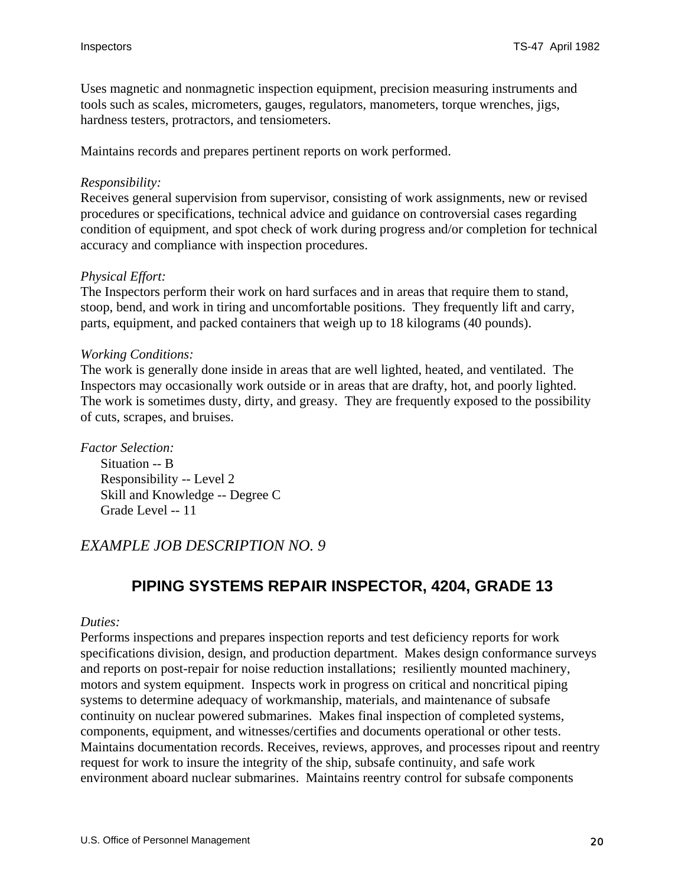<span id="page-19-0"></span>Uses magnetic and nonmagnetic inspection equipment, precision measuring instruments and tools such as scales, micrometers, gauges, regulators, manometers, torque wrenches, jigs, hardness testers, protractors, and tensiometers.

Maintains records and prepares pertinent reports on work performed.

#### *Responsibility:*

Receives general supervision from supervisor, consisting of work assignments, new or revised procedures or specifications, technical advice and guidance on controversial cases regarding condition of equipment, and spot check of work during progress and/or completion for technical accuracy and compliance with inspection procedures.

#### *Physical Effort:*

The Inspectors perform their work on hard surfaces and in areas that require them to stand, stoop, bend, and work in tiring and uncomfortable positions. They frequently lift and carry, parts, equipment, and packed containers that weigh up to 18 kilograms (40 pounds).

#### *Working Conditions:*

The work is generally done inside in areas that are well lighted, heated, and ventilated. The Inspectors may occasionally work outside or in areas that are drafty, hot, and poorly lighted. The work is sometimes dusty, dirty, and greasy. They are frequently exposed to the possibility of cuts, scrapes, and bruises.

*Factor Selection:*

Situation -- B Responsibility -- Level 2 Skill and Knowledge -- Degree C Grade Level -- 11

#### *EXAMPLE JOB DESCRIPTION NO. 9*

### **PIPING SYSTEMS REPAIR INSPECTOR, 4204, GRADE 13**

#### *Duties:*

Performs inspections and prepares inspection reports and test deficiency reports for work specifications division, design, and production department. Makes design conformance surveys and reports on post-repair for noise reduction installations; resiliently mounted machinery, motors and system equipment. Inspects work in progress on critical and noncritical piping systems to determine adequacy of workmanship, materials, and maintenance of subsafe continuity on nuclear powered submarines. Makes final inspection of completed systems, components, equipment, and witnesses/certifies and documents operational or other tests. Maintains documentation records. Receives, reviews, approves, and processes ripout and reentry request for work to insure the integrity of the ship, subsafe continuity, and safe work environment aboard nuclear submarines. Maintains reentry control for subsafe components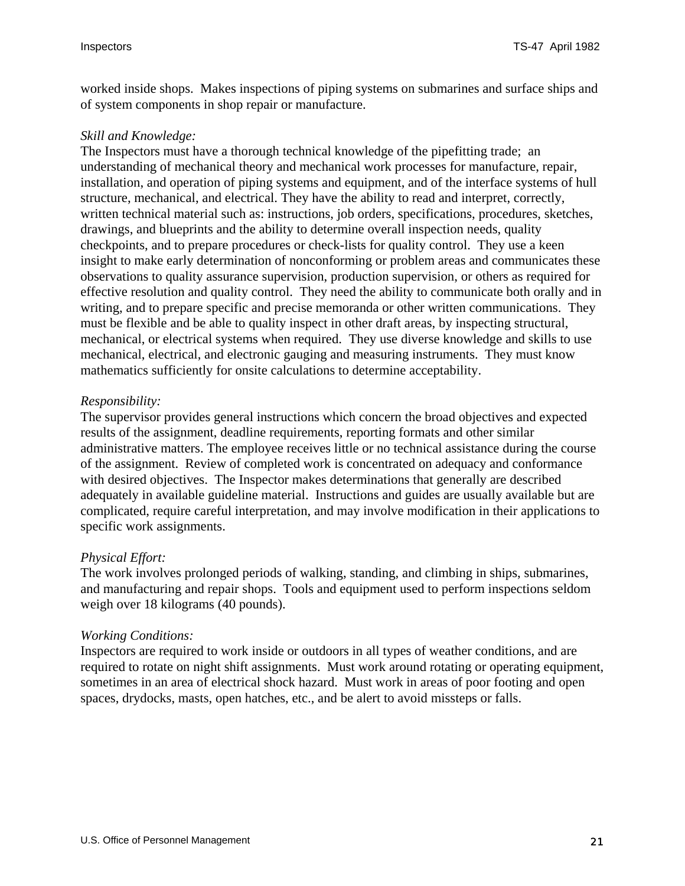worked inside shops. Makes inspections of piping systems on submarines and surface ships and of system components in shop repair or manufacture.

#### *Skill and Knowledge:*

The Inspectors must have a thorough technical knowledge of the pipefitting trade; an understanding of mechanical theory and mechanical work processes for manufacture, repair, installation, and operation of piping systems and equipment, and of the interface systems of hull structure, mechanical, and electrical. They have the ability to read and interpret, correctly, written technical material such as: instructions, job orders, specifications, procedures, sketches, drawings, and blueprints and the ability to determine overall inspection needs, quality checkpoints, and to prepare procedures or check-lists for quality control. They use a keen insight to make early determination of nonconforming or problem areas and communicates these observations to quality assurance supervision, production supervision, or others as required for effective resolution and quality control. They need the ability to communicate both orally and in writing, and to prepare specific and precise memoranda or other written communications. They must be flexible and be able to quality inspect in other draft areas, by inspecting structural, mechanical, or electrical systems when required. They use diverse knowledge and skills to use mechanical, electrical, and electronic gauging and measuring instruments. They must know mathematics sufficiently for onsite calculations to determine acceptability.

#### *Responsibility:*

The supervisor provides general instructions which concern the broad objectives and expected results of the assignment, deadline requirements, reporting formats and other similar administrative matters. The employee receives little or no technical assistance during the course of the assignment. Review of completed work is concentrated on adequacy and conformance with desired objectives. The Inspector makes determinations that generally are described adequately in available guideline material. Instructions and guides are usually available but are complicated, require careful interpretation, and may involve modification in their applications to specific work assignments.

#### *Physical Effort:*

The work involves prolonged periods of walking, standing, and climbing in ships, submarines, and manufacturing and repair shops. Tools and equipment used to perform inspections seldom weigh over 18 kilograms (40 pounds).

#### *Working Conditions:*

Inspectors are required to work inside or outdoors in all types of weather conditions, and are required to rotate on night shift assignments. Must work around rotating or operating equipment, sometimes in an area of electrical shock hazard. Must work in areas of poor footing and open spaces, drydocks, masts, open hatches, etc., and be alert to avoid missteps or falls.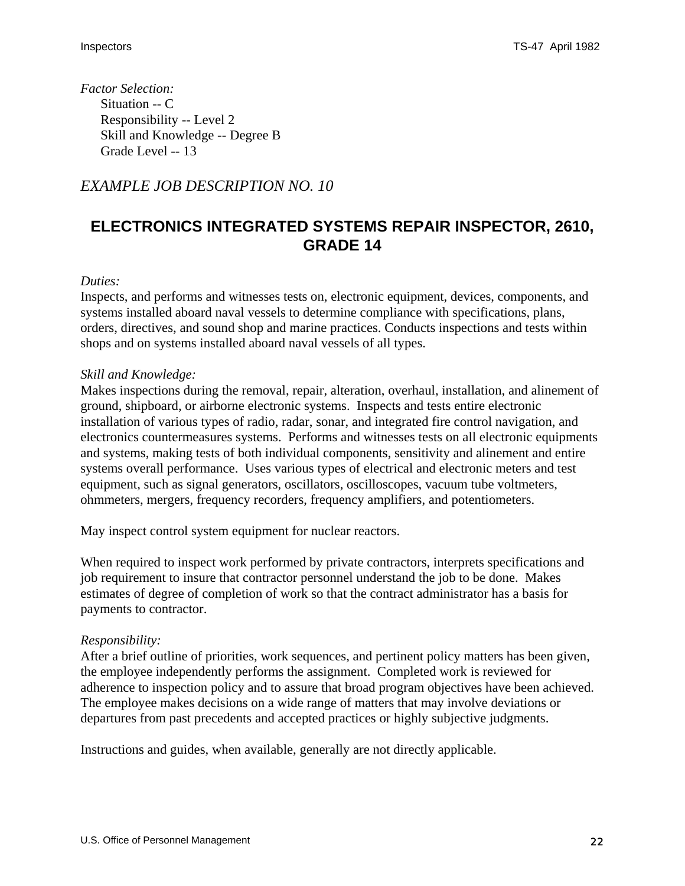<span id="page-21-0"></span>*Factor Selection:* Situation -- C Responsibility -- Level 2 Skill and Knowledge -- Degree B Grade Level -- 13

### *EXAMPLE JOB DESCRIPTION NO. 10*

## **ELECTRONICS INTEGRATED SYSTEMS REPAIR INSPECTOR, 2610, GRADE 14**

#### *Duties:*

Inspects, and performs and witnesses tests on, electronic equipment, devices, components, and systems installed aboard naval vessels to determine compliance with specifications, plans, orders, directives, and sound shop and marine practices. Conducts inspections and tests within shops and on systems installed aboard naval vessels of all types.

#### *Skill and Knowledge:*

Makes inspections during the removal, repair, alteration, overhaul, installation, and alinement of ground, shipboard, or airborne electronic systems. Inspects and tests entire electronic installation of various types of radio, radar, sonar, and integrated fire control navigation, and electronics countermeasures systems. Performs and witnesses tests on all electronic equipments and systems, making tests of both individual components, sensitivity and alinement and entire systems overall performance. Uses various types of electrical and electronic meters and test equipment, such as signal generators, oscillators, oscilloscopes, vacuum tube voltmeters, ohmmeters, mergers, frequency recorders, frequency amplifiers, and potentiometers.

May inspect control system equipment for nuclear reactors.

When required to inspect work performed by private contractors, interprets specifications and job requirement to insure that contractor personnel understand the job to be done. Makes estimates of degree of completion of work so that the contract administrator has a basis for payments to contractor.

#### *Responsibility:*

After a brief outline of priorities, work sequences, and pertinent policy matters has been given, the employee independently performs the assignment. Completed work is reviewed for adherence to inspection policy and to assure that broad program objectives have been achieved. The employee makes decisions on a wide range of matters that may involve deviations or departures from past precedents and accepted practices or highly subjective judgments.

Instructions and guides, when available, generally are not directly applicable.